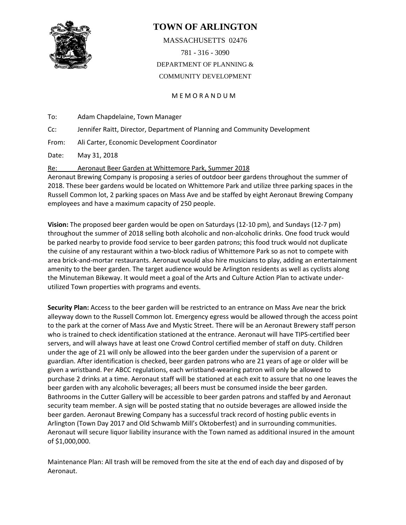

## **TOWN OF ARLINGTON**

MASSACHUSETTS 02476 781 - 316 - 3090 DEPARTMENT OF PLANNING & COMMUNITY DEVELOPMENT

M E M O R A N D U M

To: Adam Chapdelaine, Town Manager

Cc: Jennifer Raitt, Director, Department of Planning and Community Development

From: Ali Carter, Economic Development Coordinator

Date: May 31, 2018

Re: Aeronaut Beer Garden at Whittemore Park, Summer 2018

Aeronaut Brewing Company is proposing a series of outdoor beer gardens throughout the summer of 2018. These beer gardens would be located on Whittemore Park and utilize three parking spaces in the Russell Common lot, 2 parking spaces on Mass Ave and be staffed by eight Aeronaut Brewing Company employees and have a maximum capacity of 250 people.

**Vision:** The proposed beer garden would be open on Saturdays (12-10 pm), and Sundays (12-7 pm) throughout the summer of 2018 selling both alcoholic and non-alcoholic drinks. One food truck would be parked nearby to provide food service to beer garden patrons; this food truck would not duplicate the cuisine of any restaurant within a two-block radius of Whittemore Park so as not to compete with area brick-and-mortar restaurants. Aeronaut would also hire musicians to play, adding an entertainment amenity to the beer garden. The target audience would be Arlington residents as well as cyclists along the Minuteman Bikeway. It would meet a goal of the Arts and Culture Action Plan to activate underutilized Town properties with programs and events.

**Security Plan:** Access to the beer garden will be restricted to an entrance on Mass Ave near the brick alleyway down to the Russell Common lot. Emergency egress would be allowed through the access point to the park at the corner of Mass Ave and Mystic Street. There will be an Aeronaut Brewery staff person who is trained to check identification stationed at the entrance. Aeronaut will have TIPS-certified beer servers, and will always have at least one Crowd Control certified member of staff on duty. Children under the age of 21 will only be allowed into the beer garden under the supervision of a parent or guardian. After identification is checked, beer garden patrons who are 21 years of age or older will be given a wristband. Per ABCC regulations, each wristband-wearing patron will only be allowed to purchase 2 drinks at a time. Aeronaut staff will be stationed at each exit to assure that no one leaves the beer garden with any alcoholic beverages; all beers must be consumed inside the beer garden. Bathrooms in the Cutter Gallery will be accessible to beer garden patrons and staffed by and Aeronaut security team member. A sign will be posted stating that no outside beverages are allowed inside the beer garden. Aeronaut Brewing Company has a successful track record of hosting public events in Arlington (Town Day 2017 and Old Schwamb Mill's Oktoberfest) and in surrounding communities. Aeronaut will secure liquor liability insurance with the Town named as additional insured in the amount of \$1,000,000.

Maintenance Plan: All trash will be removed from the site at the end of each day and disposed of by Aeronaut.